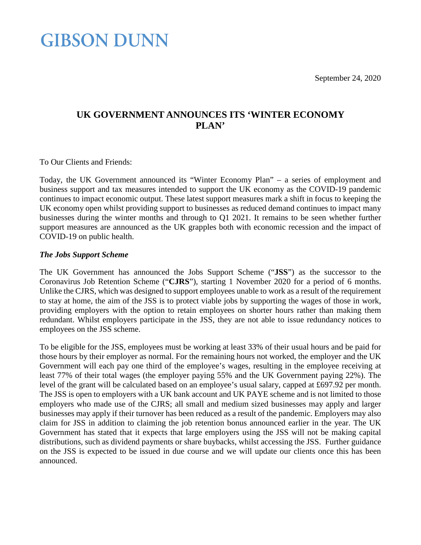September 24, 2020

### **GIBSON DUNN**

### **UK GOVERNMENT ANNOUNCES ITS 'WINTER ECONOMY PLAN'**

To Our Clients and Friends:

Today, the UK Government announced its "Winter Economy Plan" – a series of employment and business support and tax measures intended to support the UK economy as the COVID-19 pandemic continues to impact economic output. These latest support measures mark a shift in focus to keeping the UK economy open whilst providing support to businesses as reduced demand continues to impact many businesses during the winter months and through to Q1 2021. It remains to be seen whether further support measures are announced as the UK grapples both with economic recession and the impact of COVID-19 on public health.

#### *The Jobs Support Scheme*

The UK Government has announced the Jobs Support Scheme ("**JSS**") as the successor to the Coronavirus Job Retention Scheme ("**CJRS**"), starting 1 November 2020 for a period of 6 months. Unlike the CJRS, which was designed to support employees unable to work as a result of the requirement to stay at home, the aim of the JSS is to protect viable jobs by supporting the wages of those in work, providing employers with the option to retain employees on shorter hours rather than making them redundant. Whilst employers participate in the JSS, they are not able to issue redundancy notices to employees on the JSS scheme.

To be eligible for the JSS, employees must be working at least 33% of their usual hours and be paid for those hours by their employer as normal. For the remaining hours not worked, the employer and the UK Government will each pay one third of the employee's wages, resulting in the employee receiving at least 77% of their total wages (the employer paying 55% and the UK Government paying 22%). The level of the grant will be calculated based on an employee's usual salary, capped at £697.92 per month. The JSS is open to employers with a UK bank account and UK PAYE scheme and is not limited to those employers who made use of the CJRS; all small and medium sized businesses may apply and larger businesses may apply if their turnover has been reduced as a result of the pandemic. Employers may also claim for JSS in addition to claiming the job retention bonus announced earlier in the year. The UK Government has stated that it expects that large employers using the JSS will not be making capital distributions, such as dividend payments or share buybacks, whilst accessing the JSS. Further guidance on the JSS is expected to be issued in due course and we will update our clients once this has been announced.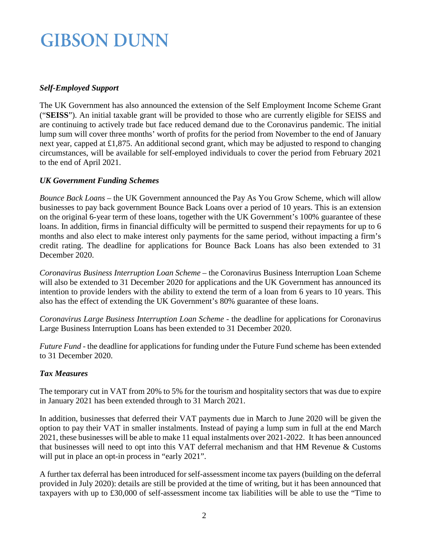# **GIBSON DUNN**

### *Self-Employed Support*

The UK Government has also announced the extension of the Self Employment Income Scheme Grant ("**SEISS**"). An initial taxable grant will be provided to those who are currently eligible for SEISS and are continuing to actively trade but face reduced demand due to the Coronavirus pandemic. The initial lump sum will cover three months' worth of profits for the period from November to the end of January next year, capped at £1,875. An additional second grant, which may be adjusted to respond to changing circumstances, will be available for self-employed individuals to cover the period from February 2021 to the end of April 2021.

#### *UK Government Funding Schemes*

*Bounce Back Loans* – the UK Government announced the Pay As You Grow Scheme, which will allow businesses to pay back government Bounce Back Loans over a period of 10 years. This is an extension on the original 6-year term of these loans, together with the UK Government's 100% guarantee of these loans. In addition, firms in financial difficulty will be permitted to suspend their repayments for up to 6 months and also elect to make interest only payments for the same period, without impacting a firm's credit rating. The deadline for applications for Bounce Back Loans has also been extended to 31 December 2020.

*Coronavirus Business Interruption Loan Scheme* – the Coronavirus Business Interruption Loan Scheme will also be extended to 31 December 2020 for applications and the UK Government has announced its intention to provide lenders with the ability to extend the term of a loan from 6 years to 10 years. This also has the effect of extending the UK Government's 80% guarantee of these loans.

*Coronavirus Large Business Interruption Loan Scheme* - the deadline for applications for Coronavirus Large Business Interruption Loans has been extended to 31 December 2020.

*Future Fund* - the deadline for applications for funding under the Future Fund scheme has been extended to 31 December 2020.

### *Tax Measures*

The temporary cut in VAT from 20% to 5% for the tourism and hospitality sectors that was due to expire in January 2021 has been extended through to 31 March 2021.

In addition, businesses that deferred their VAT payments due in March to June 2020 will be given the option to pay their VAT in smaller instalments. Instead of paying a lump sum in full at the end March 2021, these businesses will be able to make 11 equal instalments over 2021-2022. It has been announced that businesses will need to opt into this VAT deferral mechanism and that HM Revenue & Customs will put in place an opt-in process in "early 2021".

A further tax deferral has been introduced for self-assessment income tax payers (building on the deferral provided in July 2020): details are still be provided at the time of writing, but it has been announced that taxpayers with up to £30,000 of self-assessment income tax liabilities will be able to use the "Time to